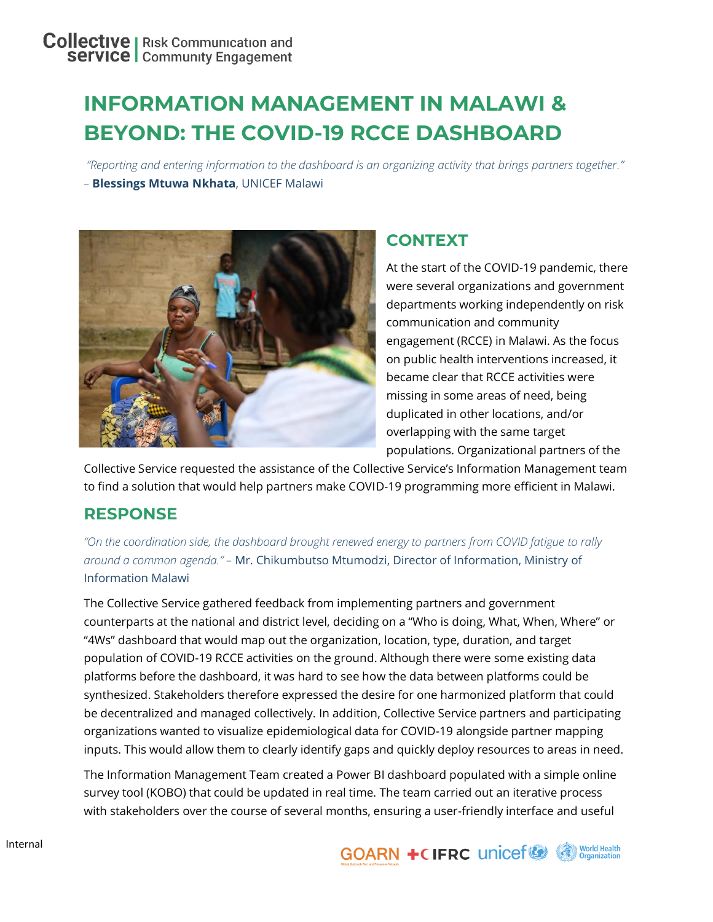# **INFORMATION MANAGEMENT IN MALAWI & BEYOND: THE COVID-19 RCCE DASHBOARD**

*"Reporting and entering information to the dashboard is an organizing activity that brings partners together." –* **Blessings Mtuwa Nkhata**, UNICEF Malawi



# **CONTEXT**

At the start of the COVID-19 pandemic, there were several organizations and government departments working independently on risk communication and community engagement (RCCE) in Malawi. As the focus on public health interventions increased, it became clear that RCCE activities were missing in some areas of need, being duplicated in other locations, and/or overlapping with the same target populations. Organizational partners of the

Collective Service requested the assistance of the Collective Service's Information Management team to find a solution that would help partners make COVID-19 programming more efficient in Malawi.

## **RESPONSE**

*"On the coordination side, the dashboard brought renewed energy to partners from COVID fatigue to rally around a common agenda." –* Mr. Chikumbutso Mtumodzi, Director of Information, Ministry of Information Malawi

The Collective Service gathered feedback from implementing partners and government counterparts at the national and district level, deciding on a "Who is doing, What, When, Where" or "4Ws" dashboard that would map out the organization, location, type, duration, and target population of COVID-19 RCCE activities on the ground. Although there were some existing data platforms before the dashboard, it was hard to see how the data between platforms could be synthesized. Stakeholders therefore expressed the desire for one harmonized platform that could be decentralized and managed collectively. In addition, Collective Service partners and participating organizations wanted to visualize epidemiological data for COVID-19 alongside partner mapping inputs. This would allow them to clearly identify gaps and quickly deploy resources to areas in need.

The Information Management Team created a Power BI dashboard populated with a simple online survey tool (KOBO) that could be updated in real time. The team carried out an iterative process with stakeholders over the course of several months, ensuring a user-friendly interface and useful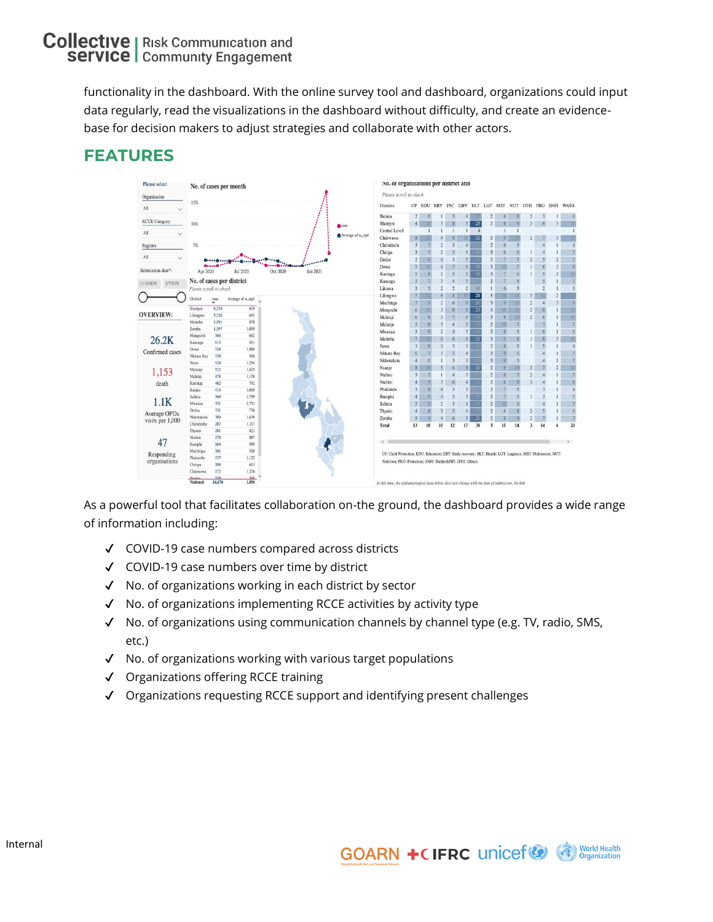functionality in the dashboard. With the online survey tool and dashboard, organizations could input data regularly, read the visualizations in the dashboard without difficulty, and create an evidencebase for decision makers to adjust strategies and collaborate with other actors.





As a powerful tool that facilitates collaboration on-the ground, the dashboard provides a wide range of information including:

- ✔ COVID-19 case numbers compared across districts
- ✔ COVID-19 case numbers over time by district
- ✔ No. of organizations working in each district by sector
- ✔ No. of organizations implementing RCCE activities by activity type
- ✔ No. of organizations using communication channels by channel type (e.g. TV, radio, SMS, etc.)
- ✔ No. of organizations working with various target populations
- ✔ Organizations offering RCCE training
- ✔ Organizations requesting RCCE support and identifying present challenges

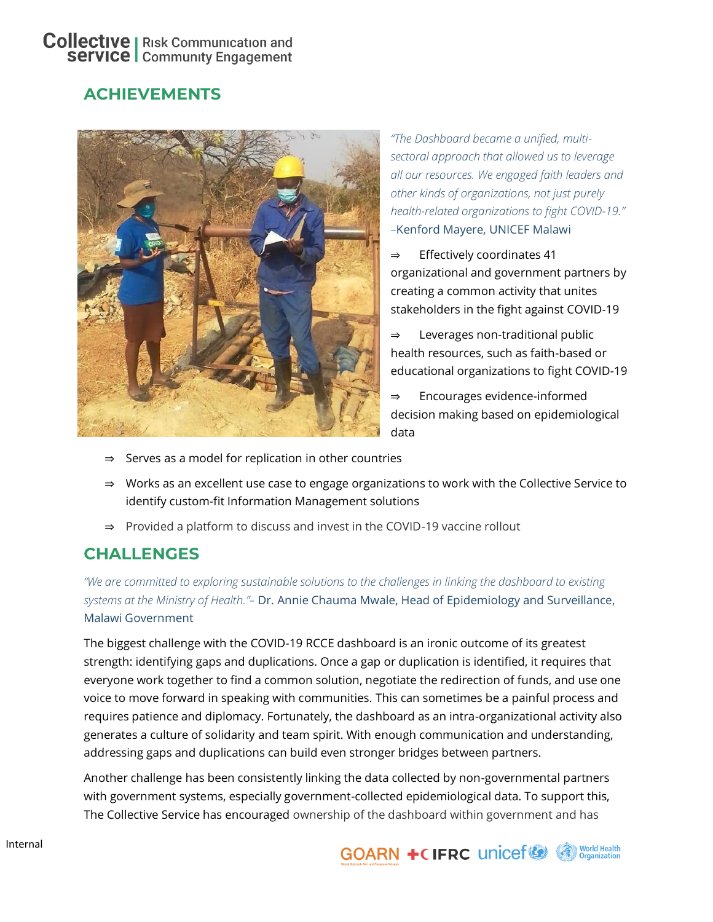### **Collective** | Risk Communication and **Service** | Community Engagement

# **ACHIEVEMENTS**



*"The Dashboard became a unified, multisectoral approach that allowed us to leverage all our resources. We engaged faith leaders and other kinds of organizations, not just purely health-related organizations to fight COVID-19." –*Kenford Mayere, UNICEF Malawi

- ⇒ Effectively coordinates 41 organizational and government partners by creating a common activity that unites stakeholders in the fight against COVID-19
- Leverages non-traditional public health resources, such as faith-based or educational organizations to fight COVID-19
- Encourages evidence-informed decision making based on epidemiological data
- ⇒ Serves as a model for replication in other countries
- ⇒ Works as an excellent use case to engage organizations to work with the Collective Service to identify custom-fit Information Management solutions
- ⇒ Provided a platform to discuss and invest in the COVID-19 vaccine rollout

### **CHALLENGES**

*"We are committed to exploring sustainable solutions to the challenges in linking the dashboard to existing systems at the Ministry of Health."–* Dr. Annie Chauma Mwale, Head of Epidemiology and Surveillance, Malawi Government

The biggest challenge with the COVID-19 RCCE dashboard is an ironic outcome of its greatest strength: identifying gaps and duplications. Once a gap or duplication is identified, it requires that everyone work together to find a common solution, negotiate the redirection of funds, and use one voice to move forward in speaking with communities. This can sometimes be a painful process and requires patience and diplomacy. Fortunately, the dashboard as an intra-organizational activity also generates a culture of solidarity and team spirit. With enough communication and understanding, addressing gaps and duplications can build even stronger bridges between partners.

Another challenge has been consistently linking the data collected by non-governmental partners with government systems, especially government-collected epidemiological data. To support this, The Collective Service has encouraged ownership of the dashboard within government and has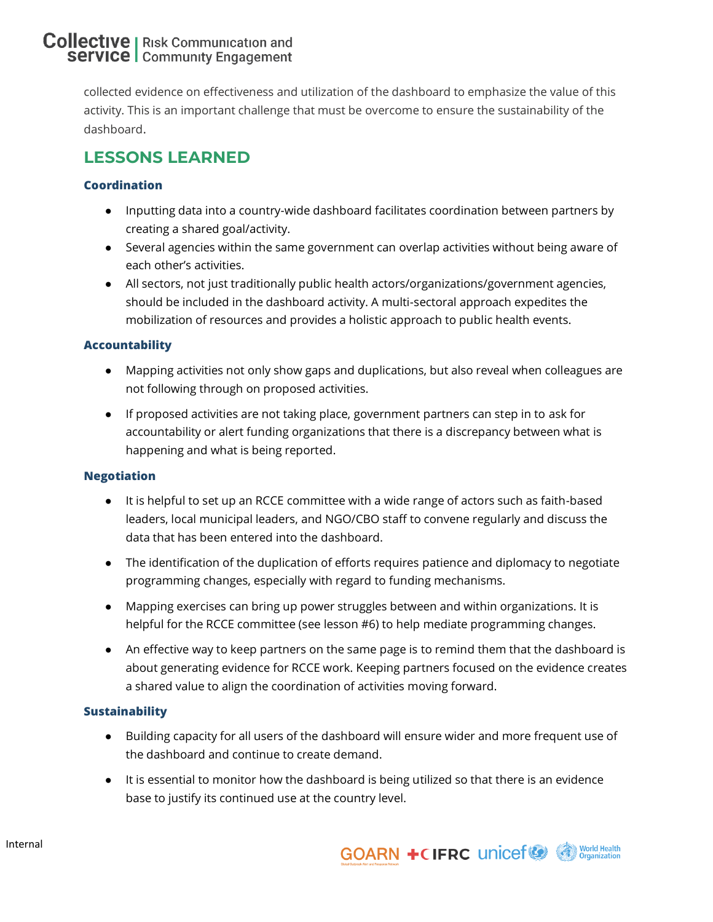### **Collective** | Risk Communication and **Service** | Community Engagement

collected evidence on effectiveness and utilization of the dashboard to emphasize the value of this activity. This is an important challenge that must be overcome to ensure the sustainability of the dashboard.

# **LESSONS LEARNED**

### **Coordination**

- Inputting data into a country-wide dashboard facilitates coordination between partners by creating a shared goal/activity.
- Several agencies within the same government can overlap activities without being aware of each other's activities.
- All sectors, not just traditionally public health actors/organizations/government agencies, should be included in the dashboard activity. A multi-sectoral approach expedites the mobilization of resources and provides a holistic approach to public health events.

### **Accountability**

- Mapping activities not only show gaps and duplications, but also reveal when colleagues are not following through on proposed activities.
- If proposed activities are not taking place, government partners can step in to ask for accountability or alert funding organizations that there is a discrepancy between what is happening and what is being reported.

#### **Negotiation**

- It is helpful to set up an RCCE committee with a wide range of actors such as faith-based leaders, local municipal leaders, and NGO/CBO staff to convene regularly and discuss the data that has been entered into the dashboard.
- The identification of the duplication of efforts requires patience and diplomacy to negotiate programming changes, especially with regard to funding mechanisms.
- Mapping exercises can bring up power struggles between and within organizations. It is helpful for the RCCE committee (see lesson #6) to help mediate programming changes.
- An effective way to keep partners on the same page is to remind them that the dashboard is about generating evidence for RCCE work. Keeping partners focused on the evidence creates a shared value to align the coordination of activities moving forward.

#### **Sustainability**

- Building capacity for all users of the dashboard will ensure wider and more frequent use of the dashboard and continue to create demand.
- It is essential to monitor how the dashboard is being utilized so that there is an evidence base to justify its continued use at the country level.